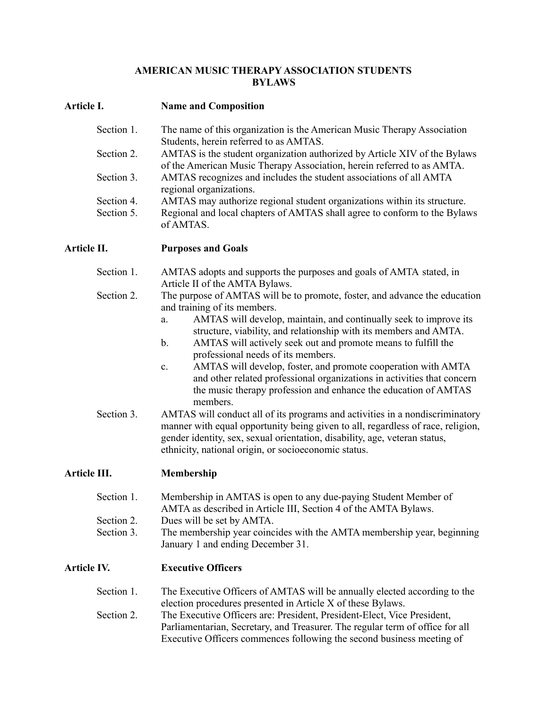## **AMERICAN MUSIC THERAPY ASSOCIATION STUDENTS BYLAWS**

## **Article I. Name and Composition**

| Section 1. | The name of this organization is the American Music Therapy Association                                             |
|------------|---------------------------------------------------------------------------------------------------------------------|
| Section 2. | Students, herein referred to as AMTAS.<br>AMTAS is the student organization authorized by Article XIV of the Bylaws |
|            | of the American Music Therapy Association, herein referred to as AMTA.                                              |
| Section 3. | AMTAS recognizes and includes the student associations of all AMTA<br>regional organizations.                       |
| Section 4. | AMTAS may authorize regional student organizations within its structure.                                            |
| Section 5. | Regional and local chapters of AMTAS shall agree to conform to the Bylaws<br>of AMTAS.                              |

**Article II. Purposes and Goals**

- Section 1. AMTAS adopts and supports the purposes and goals of AMTA stated, in Article II of the AMTA Bylaws.
- Section 2. The purpose of AMTAS will be to promote, foster, and advance the education and training of its members.
	- a. AMTAS will develop, maintain, and continually seek to improve its structure, viability, and relationship with its members and AMTA.
	- b. AMTAS will actively seek out and promote means to fulfill the professional needs of its members.
	- c. AMTAS will develop, foster, and promote cooperation with AMTA and other related professional organizations in activities that concern the music therapy profession and enhance the education of AMTAS members.
- Section 3. AMTAS will conduct all of its programs and activities in a nondiscriminatory manner with equal opportunity being given to all, regardless of race, religion, gender identity, sex, sexual orientation, disability, age, veteran status, ethnicity, national origin, or socioeconomic status.

# **Article III. Membership**

| Section 1. | Membership in AMTAS is open to any due-paying Student Member of |
|------------|-----------------------------------------------------------------|
|            | AMTA as described in Article III, Section 4 of the AMTA Bylaws. |
| Section 2. | Dues will be set by AMTA.                                       |

Section 3. The membership year coincides with the AMTA membership year, beginning January 1 and ending December 31.

# **Article IV. Executive Officers**

| Section 1. | The Executive Officers of AMTAS will be annually elected according to the     |
|------------|-------------------------------------------------------------------------------|
|            | election procedures presented in Article X of these Bylaws.                   |
| Section 2. | The Executive Officers are: President, President-Elect, Vice President,       |
|            | Parliamentarian, Secretary, and Treasurer. The regular term of office for all |
|            | Executive Officers commences following the second business meeting of         |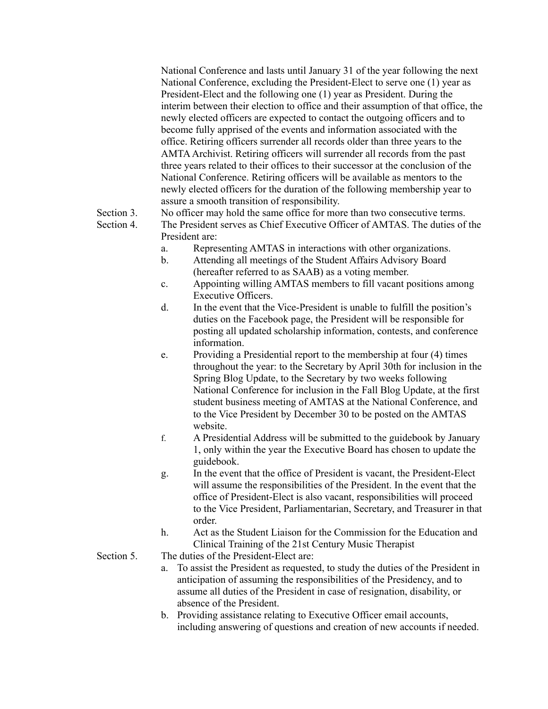National Conference and lasts until January 31 of the year following the next National Conference, excluding the President-Elect to serve one (1) year as President-Elect and the following one (1) year as President. During the interim between their election to office and their assumption of that office, the newly elected officers are expected to contact the outgoing officers and to become fully apprised of the events and information associated with the office. Retiring officers surrender all records older than three years to the AMTAArchivist. Retiring officers will surrender all records from the past three years related to their offices to their successor at the conclusion of the National Conference. Retiring officers will be available as mentors to the newly elected officers for the duration of the following membership year to assure a smooth transition of responsibility.

Section 3. No officer may hold the same office for more than two consecutive terms.

Section 4. The President serves as Chief Executive Officer of AMTAS. The duties of the President are:

- a. Representing AMTAS in interactions with other organizations.
- b. Attending all meetings of the Student Affairs Advisory Board (hereafter referred to as SAAB) as a voting member.
- c. Appointing willing AMTAS members to fill vacant positions among Executive Officers.
- d. In the event that the Vice-President is unable to fulfill the position's duties on the Facebook page, the President will be responsible for posting all updated scholarship information, contests, and conference information.
- e. Providing a Presidential report to the membership at four (4) times throughout the year: to the Secretary by April 30th for inclusion in the Spring Blog Update, to the Secretary by two weeks following National Conference for inclusion in the Fall Blog Update, at the first student business meeting of AMTAS at the National Conference, and to the Vice President by December 30 to be posted on the AMTAS website.
- f. A Presidential Address will be submitted to the guidebook by January 1, only within the year the Executive Board has chosen to update the guidebook.
- g. In the event that the office of President is vacant, the President-Elect will assume the responsibilities of the President. In the event that the office of President-Elect is also vacant, responsibilities will proceed to the Vice President, Parliamentarian, Secretary, and Treasurer in that order.
- h. Act as the Student Liaison for the Commission for the Education and Clinical Training of the 21st Century Music Therapist
- Section 5. The duties of the President-Elect are:
	- a. To assist the President as requested, to study the duties of the President in anticipation of assuming the responsibilities of the Presidency, and to assume all duties of the President in case of resignation, disability, or absence of the President.
	- b. Providing assistance relating to Executive Officer email accounts, including answering of questions and creation of new accounts if needed.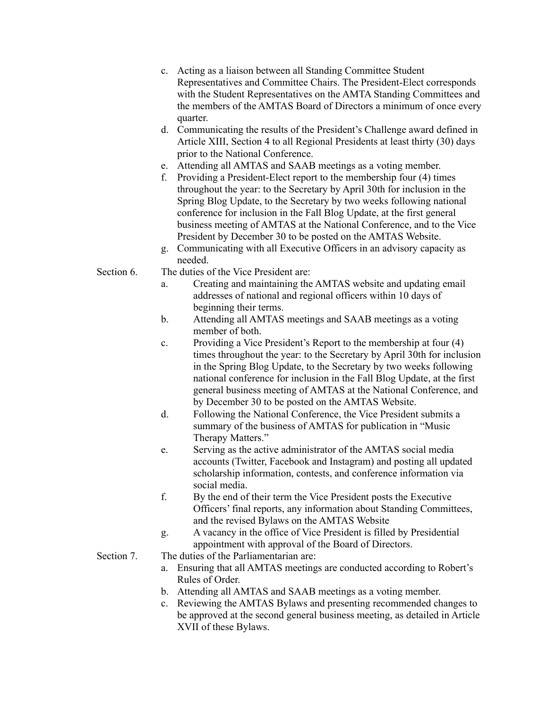- c. Acting as a liaison between all Standing Committee Student Representatives and Committee Chairs. The President-Elect corresponds with the Student Representatives on the AMTA Standing Committees and the members of the AMTAS Board of Directors a minimum of once every quarter.
- d. Communicating the results of the President's Challenge award defined in Article XIII, Section 4 to all Regional Presidents at least thirty (30) days prior to the National Conference.
- e. Attending all AMTAS and SAAB meetings as a voting member.
- f. Providing a President-Elect report to the membership four (4) times throughout the year: to the Secretary by April 30th for inclusion in the Spring Blog Update, to the Secretary by two weeks following national conference for inclusion in the Fall Blog Update, at the first general business meeting of AMTAS at the National Conference, and to the Vice President by December 30 to be posted on the AMTAS Website.
- g. Communicating with all Executive Officers in an advisory capacity as needed.
- Section 6. The duties of the Vice President are:
	- a. Creating and maintaining the AMTAS website and updating email addresses of national and regional officers within 10 days of beginning their terms.
	- b. Attending all AMTAS meetings and SAAB meetings as a voting member of both.
	- c. Providing a Vice President's Report to the membership at four (4) times throughout the year: to the Secretary by April 30th for inclusion in the Spring Blog Update, to the Secretary by two weeks following national conference for inclusion in the Fall Blog Update, at the first general business meeting of AMTAS at the National Conference, and by December 30 to be posted on the AMTAS Website.
	- d. Following the National Conference, the Vice President submits a summary of the business of AMTAS for publication in "Music Therapy Matters."
	- e. Serving as the active administrator of the AMTAS social media accounts (Twitter, Facebook and Instagram) and posting all updated scholarship information, contests, and conference information via social media.
	- f. By the end of their term the Vice President posts the Executive Officers' final reports, any information about Standing Committees, and the revised Bylaws on the AMTAS Website
	- g. A vacancy in the office of Vice President is filled by Presidential appointment with approval of the Board of Directors.
- Section 7. The duties of the Parliamentarian are:
	- a. Ensuring that all AMTAS meetings are conducted according to Robert's Rules of Order.
	- b. Attending all AMTAS and SAAB meetings as a voting member.
	- c. Reviewing the AMTAS Bylaws and presenting recommended changes to be approved at the second general business meeting, as detailed in Article XVII of these Bylaws.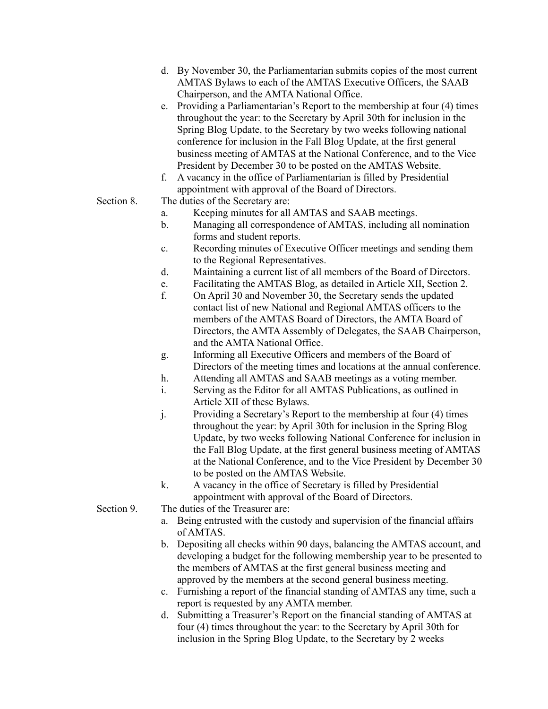- d. By November 30, the Parliamentarian submits copies of the most current AMTAS Bylaws to each of the AMTAS Executive Officers, the SAAB Chairperson, and the AMTA National Office.
- e. Providing a Parliamentarian's Report to the membership at four (4) times throughout the year: to the Secretary by April 30th for inclusion in the Spring Blog Update, to the Secretary by two weeks following national conference for inclusion in the Fall Blog Update, at the first general business meeting of AMTAS at the National Conference, and to the Vice President by December 30 to be posted on the AMTAS Website.
- f. A vacancy in the office of Parliamentarian is filled by Presidential appointment with approval of the Board of Directors.
- Section 8. The duties of the Secretary are:
	- a. Keeping minutes for all AMTAS and SAAB meetings.
	- b. Managing all correspondence of AMTAS, including all nomination forms and student reports.
	- c. Recording minutes of Executive Officer meetings and sending them to the Regional Representatives.
	- d. Maintaining a current list of all members of the Board of Directors.
	- e. Facilitating the AMTAS Blog, as detailed in Article XII, Section 2.
	- f. On April 30 and November 30, the Secretary sends the updated contact list of new National and Regional AMTAS officers to the members of the AMTAS Board of Directors, the AMTA Board of Directors, the AMTA Assembly of Delegates, the SAAB Chairperson, and the AMTA National Office.
	- g. Informing all Executive Officers and members of the Board of Directors of the meeting times and locations at the annual conference.
	- h. Attending all AMTAS and SAAB meetings as a voting member.
	- i. Serving as the Editor for all AMTAS Publications, as outlined in Article XII of these Bylaws.
	- j. Providing a Secretary's Report to the membership at four (4) times throughout the year: by April 30th for inclusion in the Spring Blog Update, by two weeks following National Conference for inclusion in the Fall Blog Update, at the first general business meeting of AMTAS at the National Conference, and to the Vice President by December 30 to be posted on the AMTAS Website.
	- k. A vacancy in the office of Secretary is filled by Presidential appointment with approval of the Board of Directors.
- Section 9. The duties of the Treasurer are:
	- a. Being entrusted with the custody and supervision of the financial affairs of AMTAS.
	- b. Depositing all checks within 90 days, balancing the AMTAS account, and developing a budget for the following membership year to be presented to the members of AMTAS at the first general business meeting and approved by the members at the second general business meeting.
	- c. Furnishing a report of the financial standing of AMTAS any time, such a report is requested by any AMTA member.
	- d. Submitting a Treasurer's Report on the financial standing of AMTAS at four (4) times throughout the year: to the Secretary by April 30th for inclusion in the Spring Blog Update, to the Secretary by 2 weeks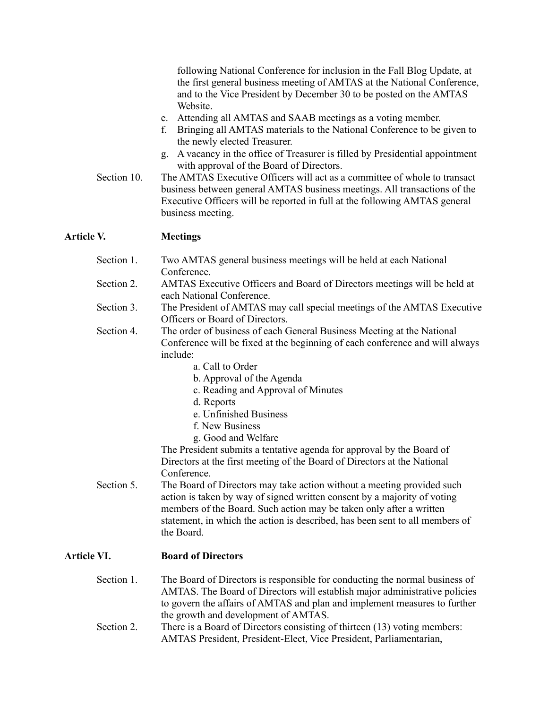following National Conference for inclusion in the Fall Blog Update, at the first general business meeting of AMTAS at the National Conference, and to the Vice President by December 30 to be posted on the AMTAS Website.

- e. Attending all AMTAS and SAAB meetings as a voting member.
- f. Bringing all AMTAS materials to the National Conference to be given to the newly elected Treasurer.
- g. A vacancy in the office of Treasurer is filled by Presidential appointment with approval of the Board of Directors.

Section 10. The AMTAS Executive Officers will act as a committee of whole to transact business between general AMTAS business meetings. All transactions of the Executive Officers will be reported in full at the following AMTAS general business meeting.

## **Article V. Meetings**

|                    | Section 1. | Two AMTAS general business meetings will be held at each National<br>Conference.                                                                                                                                                                                                                                        |
|--------------------|------------|-------------------------------------------------------------------------------------------------------------------------------------------------------------------------------------------------------------------------------------------------------------------------------------------------------------------------|
|                    | Section 2. | AMTAS Executive Officers and Board of Directors meetings will be held at<br>each National Conference.                                                                                                                                                                                                                   |
|                    | Section 3. | The President of AMTAS may call special meetings of the AMTAS Executive<br>Officers or Board of Directors.                                                                                                                                                                                                              |
|                    | Section 4. | The order of business of each General Business Meeting at the National<br>Conference will be fixed at the beginning of each conference and will always<br>include:                                                                                                                                                      |
|                    |            | a. Call to Order                                                                                                                                                                                                                                                                                                        |
|                    |            | b. Approval of the Agenda                                                                                                                                                                                                                                                                                               |
|                    |            | c. Reading and Approval of Minutes                                                                                                                                                                                                                                                                                      |
|                    |            | d. Reports                                                                                                                                                                                                                                                                                                              |
|                    |            | e. Unfinished Business                                                                                                                                                                                                                                                                                                  |
|                    |            | f. New Business                                                                                                                                                                                                                                                                                                         |
|                    |            | g. Good and Welfare                                                                                                                                                                                                                                                                                                     |
|                    |            | The President submits a tentative agenda for approval by the Board of<br>Directors at the first meeting of the Board of Directors at the National                                                                                                                                                                       |
|                    |            | Conference.                                                                                                                                                                                                                                                                                                             |
|                    | Section 5. | The Board of Directors may take action without a meeting provided such<br>action is taken by way of signed written consent by a majority of voting<br>members of the Board. Such action may be taken only after a written<br>statement, in which the action is described, has been sent to all members of<br>the Board. |
| <b>Article VI.</b> |            | <b>Board of Directors</b>                                                                                                                                                                                                                                                                                               |
|                    | Section 1. | The Board of Directors is responsible for conducting the normal business of<br>AMTAS. The Board of Directors will establish major administrative policies<br>to govern the affairs of AMTAS and plan and implement measures to further<br>the growth and development of AMTAS.                                          |
|                    | Section 2. | There is a Board of Directors consisting of thirteen (13) voting members:<br>AMTAS President, President-Elect, Vice President, Parliamentarian,                                                                                                                                                                         |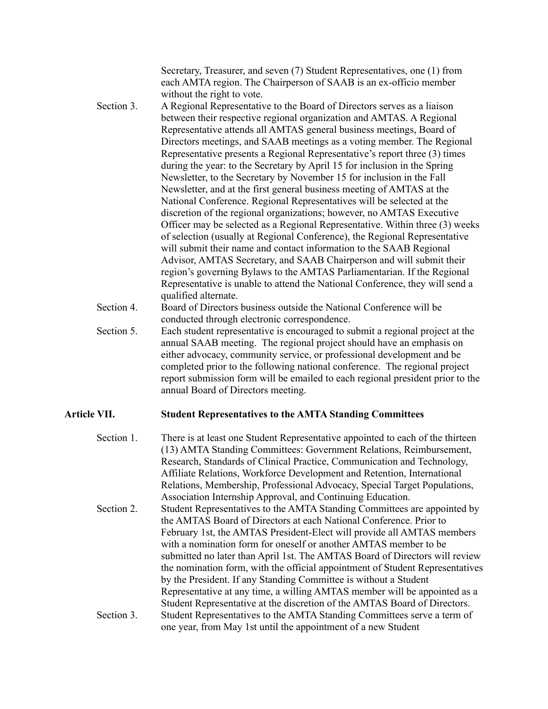Secretary, Treasurer, and seven (7) Student Representatives, one (1) from each AMTA region. The Chairperson of SAAB is an ex-officio member without the right to vote.

- Section 3. A Regional Representative to the Board of Directors serves as a liaison between their respective regional organization and AMTAS. A Regional Representative attends all AMTAS general business meetings, Board of Directors meetings, and SAAB meetings as a voting member. The Regional Representative presents a Regional Representative's report three (3) times during the year: to the Secretary by April 15 for inclusion in the Spring Newsletter, to the Secretary by November 15 for inclusion in the Fall Newsletter, and at the first general business meeting of AMTAS at the National Conference. Regional Representatives will be selected at the discretion of the regional organizations; however, no AMTAS Executive Officer may be selected as a Regional Representative. Within three (3) weeks of selection (usually at Regional Conference), the Regional Representative will submit their name and contact information to the SAAB Regional Advisor, AMTAS Secretary, and SAAB Chairperson and will submit their region's governing Bylaws to the AMTAS Parliamentarian. If the Regional Representative is unable to attend the National Conference, they will send a qualified alternate.
- Section 4. Board of Directors business outside the National Conference will be conducted through electronic correspondence.
- Section 5. Each student representative is encouraged to submit a regional project at the annual SAAB meeting. The regional project should have an emphasis on either advocacy, community service, or professional development and be completed prior to the following national conference. The regional project report submission form will be emailed to each regional president prior to the annual Board of Directors meeting.

#### **Article VII. Student Representatives to the AMTA Standing Committees**

| Section 1. | There is at least one Student Representative appointed to each of the thirteen<br>(13) AMTA Standing Committees: Government Relations, Reimbursement, |
|------------|-------------------------------------------------------------------------------------------------------------------------------------------------------|
|            | Research, Standards of Clinical Practice, Communication and Technology,                                                                               |
|            | Affiliate Relations, Workforce Development and Retention, International                                                                               |
|            | Relations, Membership, Professional Advocacy, Special Target Populations,                                                                             |
|            | Association Internship Approval, and Continuing Education.                                                                                            |
| Section 2. | Student Representatives to the AMTA Standing Committees are appointed by                                                                              |
|            | the AMTAS Board of Directors at each National Conference. Prior to                                                                                    |
|            | February 1st, the AMTAS President-Elect will provide all AMTAS members                                                                                |
|            | with a nomination form for oneself or another AMTAS member to be                                                                                      |
|            | submitted no later than April 1st. The AMTAS Board of Directors will review                                                                           |
|            | the nomination form, with the official appointment of Student Representatives                                                                         |
|            | by the President. If any Standing Committee is without a Student                                                                                      |
|            | Representative at any time, a willing AMTAS member will be appointed as a                                                                             |
|            | Student Representative at the discretion of the AMTAS Board of Directors.                                                                             |
| Section 3. | Student Representatives to the AMTA Standing Committees serve a term of                                                                               |
|            | one year, from May 1st until the appointment of a new Student                                                                                         |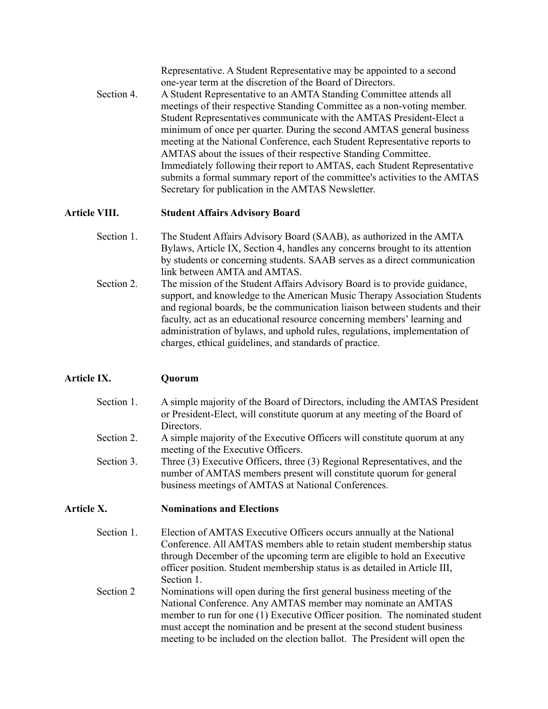|            | Representative. A Student Representative may be appointed to a second<br>one-year term at the discretion of the Board of Directors. |
|------------|-------------------------------------------------------------------------------------------------------------------------------------|
| Section 4. | A Student Representative to an AMTA Standing Committee attends all                                                                  |
|            | meetings of their respective Standing Committee as a non-voting member.                                                             |
|            | Student Representatives communicate with the AMTAS President-Elect a                                                                |
|            | minimum of once per quarter. During the second AMTAS general business                                                               |
|            | meeting at the National Conference, each Student Representative reports to                                                          |
|            | AMTAS about the issues of their respective Standing Committee.                                                                      |
|            | Immediately following their report to AMTAS, each Student Representative                                                            |
|            | submits a formal summary report of the committee's activities to the AMTAS                                                          |
|            | Secretary for publication in the AMTAS Newsletter.                                                                                  |

## **Article VIII. Student Affairs Advisory Board**

- Section 1. The Student Affairs Advisory Board (SAAB), as authorized in the AMTA Bylaws, Article IX, Section 4, handles any concerns brought to its attention by students or concerning students. SAAB serves as a direct communication link between AMTA and AMTAS.
- Section 2. The mission of the Student Affairs Advisory Board is to provide guidance, support, and knowledge to the American Music Therapy Association Students and regional boards, be the communication liaison between students and their faculty, act as an educational resource concerning members' learning and administration of bylaws, and uphold rules, regulations, implementation of charges, ethical guidelines, and standards of practice.

# **Article IX. Quorum**

| Section 1.           | A simple majority of the Board of Directors, including the AMTAS President |
|----------------------|----------------------------------------------------------------------------|
|                      | or President-Elect, will constitute quorum at any meeting of the Board of  |
|                      | Directors.                                                                 |
| $\sim$ $\sim$ $\sim$ | $\cdots$ $\cdots$ $\cdots$                                                 |

- Section 2. A simple majority of the Executive Officers will constitute quorum at any meeting of the Executive Officers.
- Section 3. Three (3) Executive Officers, three (3) Regional Representatives, and the number of AMTAS members present will constitute quorum for general business meetings of AMTAS at National Conferences.

## **Article X. Nominations and Elections**

| Section 1. | Election of AMTAS Executive Officers occurs annually at the National<br>Conference. All AMTAS members able to retain student membership status<br>through December of the upcoming term are eligible to hold an Executive |
|------------|---------------------------------------------------------------------------------------------------------------------------------------------------------------------------------------------------------------------------|
|            | officer position. Student membership status is as detailed in Article III,                                                                                                                                                |
|            | Section 1.                                                                                                                                                                                                                |
| Section 2  | Nominations will open during the first general business meeting of the                                                                                                                                                    |
|            | National Conference. Any AMTAS member may nominate an AMTAS                                                                                                                                                               |
|            | member to run for one (1) Executive Officer position. The nominated student                                                                                                                                               |
|            | must accept the nomination and be present at the second student business                                                                                                                                                  |
|            | meeting to be included on the election ballot. The President will open the                                                                                                                                                |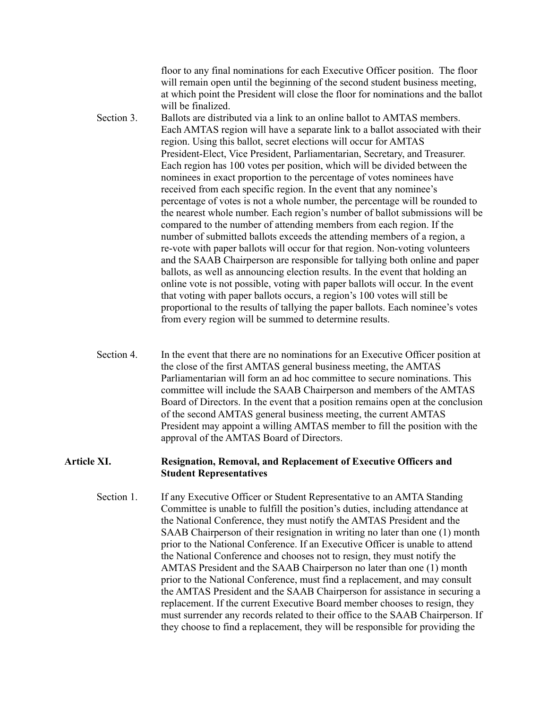floor to any final nominations for each Executive Officer position. The floor will remain open until the beginning of the second student business meeting, at which point the President will close the floor for nominations and the ballot will be finalized.

- Section 3. Ballots are distributed via a link to an online ballot to AMTAS members. Each AMTAS region will have a separate link to a ballot associated with their region. Using this ballot, secret elections will occur for AMTAS President-Elect, Vice President, Parliamentarian, Secretary, and Treasurer. Each region has 100 votes per position, which will be divided between the nominees in exact proportion to the percentage of votes nominees have received from each specific region. In the event that any nominee's percentage of votes is not a whole number, the percentage will be rounded to the nearest whole number. Each region's number of ballot submissions will be compared to the number of attending members from each region. If the number of submitted ballots exceeds the attending members of a region, a re-vote with paper ballots will occur for that region. Non-voting volunteers and the SAAB Chairperson are responsible for tallying both online and paper ballots, as well as announcing election results. In the event that holding an online vote is not possible, voting with paper ballots will occur. In the event that voting with paper ballots occurs, a region's 100 votes will still be proportional to the results of tallying the paper ballots. Each nominee's votes from every region will be summed to determine results.
- Section 4. In the event that there are no nominations for an Executive Officer position at the close of the first AMTAS general business meeting, the AMTAS Parliamentarian will form an ad hoc committee to secure nominations. This committee will include the SAAB Chairperson and members of the AMTAS Board of Directors. In the event that a position remains open at the conclusion of the second AMTAS general business meeting, the current AMTAS President may appoint a willing AMTAS member to fill the position with the approval of the AMTAS Board of Directors.

#### **Article XI. Resignation, Removal, and Replacement of Executive Officers and Student Representatives**

Section 1. If any Executive Officer or Student Representative to an AMTA Standing Committee is unable to fulfill the position's duties, including attendance at the National Conference, they must notify the AMTAS President and the SAAB Chairperson of their resignation in writing no later than one (1) month prior to the National Conference. If an Executive Officer is unable to attend the National Conference and chooses not to resign, they must notify the AMTAS President and the SAAB Chairperson no later than one (1) month prior to the National Conference, must find a replacement, and may consult the AMTAS President and the SAAB Chairperson for assistance in securing a replacement. If the current Executive Board member chooses to resign, they must surrender any records related to their office to the SAAB Chairperson. If they choose to find a replacement, they will be responsible for providing the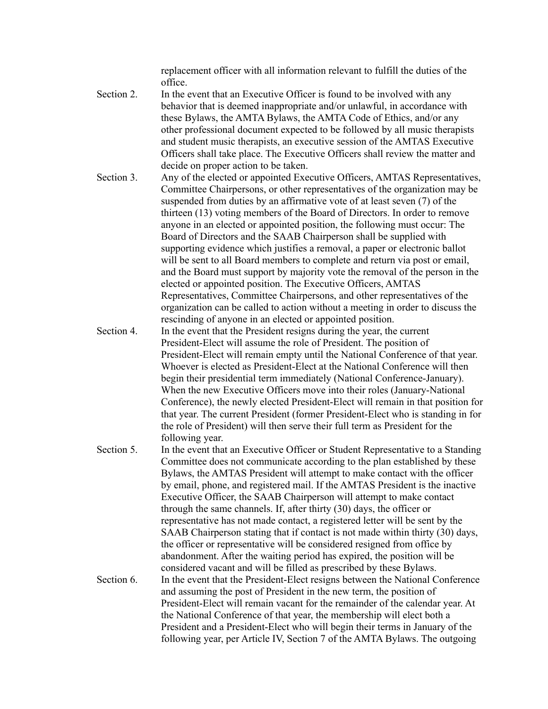replacement officer with all information relevant to fulfill the duties of the office.

- Section 2. In the event that an Executive Officer is found to be involved with any behavior that is deemed inappropriate and/or unlawful, in accordance with these Bylaws, the AMTA Bylaws, the AMTA Code of Ethics, and/or any other professional document expected to be followed by all music therapists and student music therapists, an executive session of the AMTAS Executive Officers shall take place. The Executive Officers shall review the matter and decide on proper action to be taken.
- Section 3. Any of the elected or appointed Executive Officers, AMTAS Representatives, Committee Chairpersons, or other representatives of the organization may be suspended from duties by an affirmative vote of at least seven (7) of the thirteen (13) voting members of the Board of Directors. In order to remove anyone in an elected or appointed position, the following must occur: The Board of Directors and the SAAB Chairperson shall be supplied with supporting evidence which justifies a removal, a paper or electronic ballot will be sent to all Board members to complete and return via post or email, and the Board must support by majority vote the removal of the person in the elected or appointed position. The Executive Officers, AMTAS Representatives, Committee Chairpersons, and other representatives of the organization can be called to action without a meeting in order to discuss the rescinding of anyone in an elected or appointed position.
- Section 4. In the event that the President resigns during the year, the current President-Elect will assume the role of President. The position of President-Elect will remain empty until the National Conference of that year. Whoever is elected as President-Elect at the National Conference will then begin their presidential term immediately (National Conference-January). When the new Executive Officers move into their roles (January-National Conference), the newly elected President-Elect will remain in that position for that year. The current President (former President-Elect who is standing in for the role of President) will then serve their full term as President for the following year.
- Section 5. In the event that an Executive Officer or Student Representative to a Standing Committee does not communicate according to the plan established by these Bylaws, the AMTAS President will attempt to make contact with the officer by email, phone, and registered mail. If the AMTAS President is the inactive Executive Officer, the SAAB Chairperson will attempt to make contact through the same channels. If, after thirty (30) days, the officer or representative has not made contact, a registered letter will be sent by the SAAB Chairperson stating that if contact is not made within thirty (30) days, the officer or representative will be considered resigned from office by abandonment. After the waiting period has expired, the position will be considered vacant and will be filled as prescribed by these Bylaws. Section 6. In the event that the President-Elect resigns between the National Conference and assuming the post of President in the new term, the position of President-Elect will remain vacant for the remainder of the calendar year. At the National Conference of that year, the membership will elect both a President and a President-Elect who will begin their terms in January of the following year, per Article IV, Section 7 of the AMTA Bylaws. The outgoing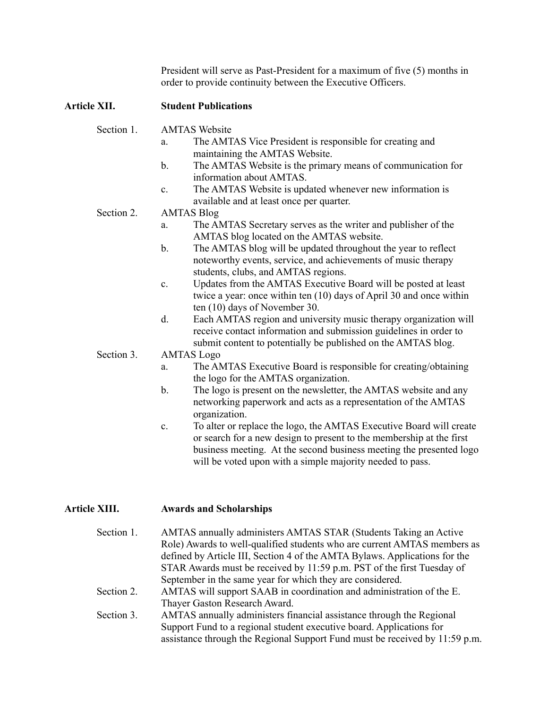President will serve as Past-President for a maximum of five (5) months in order to provide continuity between the Executive Officers.

# **Article XII. Student Publications**

| Section 1. | <b>AMTAS Website</b>                                                                                                                                                                                                                                                                  |
|------------|---------------------------------------------------------------------------------------------------------------------------------------------------------------------------------------------------------------------------------------------------------------------------------------|
|            | The AMTAS Vice President is responsible for creating and<br>a.<br>maintaining the AMTAS Website.                                                                                                                                                                                      |
|            | The AMTAS Website is the primary means of communication for<br>$\mathbf{b}$ .<br>information about AMTAS.                                                                                                                                                                             |
|            | The AMTAS Website is updated whenever new information is<br>$\mathbf{c}$ .<br>available and at least once per quarter.                                                                                                                                                                |
| Section 2. | <b>AMTAS Blog</b>                                                                                                                                                                                                                                                                     |
|            | The AMTAS Secretary serves as the writer and publisher of the<br>a.<br>AMTAS blog located on the AMTAS website.                                                                                                                                                                       |
|            | The AMTAS blog will be updated throughout the year to reflect<br>$\mathbf b$ .<br>noteworthy events, service, and achievements of music therapy<br>students, clubs, and AMTAS regions.                                                                                                |
|            | Updates from the AMTAS Executive Board will be posted at least<br>$\mathbf{c}$ .<br>twice a year: once within ten (10) days of April 30 and once within<br>ten (10) days of November 30.                                                                                              |
|            | Each AMTAS region and university music therapy organization will<br>d.<br>receive contact information and submission guidelines in order to<br>submit content to potentially be published on the AMTAS blog.                                                                          |
| Section 3. | <b>AMTAS</b> Logo                                                                                                                                                                                                                                                                     |
|            | The AMTAS Executive Board is responsible for creating/obtaining<br>a.<br>the logo for the AMTAS organization.                                                                                                                                                                         |
|            | The logo is present on the newsletter, the AMTAS website and any<br>b.<br>networking paperwork and acts as a representation of the AMTAS<br>organization.                                                                                                                             |
|            | To alter or replace the logo, the AMTAS Executive Board will create<br>c.<br>or search for a new design to present to the membership at the first<br>business meeting. At the second business meeting the presented logo<br>will be voted upon with a simple majority needed to pass. |
|            |                                                                                                                                                                                                                                                                                       |

# **Article XIII. Awards and Scholarships**

| Section 1. | AMTAS annually administers AMTAS STAR (Students Taking an Active            |
|------------|-----------------------------------------------------------------------------|
|            | Role) Awards to well-qualified students who are current AMTAS members as    |
|            | defined by Article III, Section 4 of the AMTA Bylaws. Applications for the  |
|            | STAR Awards must be received by 11:59 p.m. PST of the first Tuesday of      |
|            | September in the same year for which they are considered.                   |
| Section 2. | AMTAS will support SAAB in coordination and administration of the E.        |
|            | Thayer Gaston Research Award.                                               |
| Section 3. | AMTAS annually administers financial assistance through the Regional        |
|            | Support Fund to a regional student executive board. Applications for        |
|            | assistance through the Regional Support Fund must be received by 11:59 p.m. |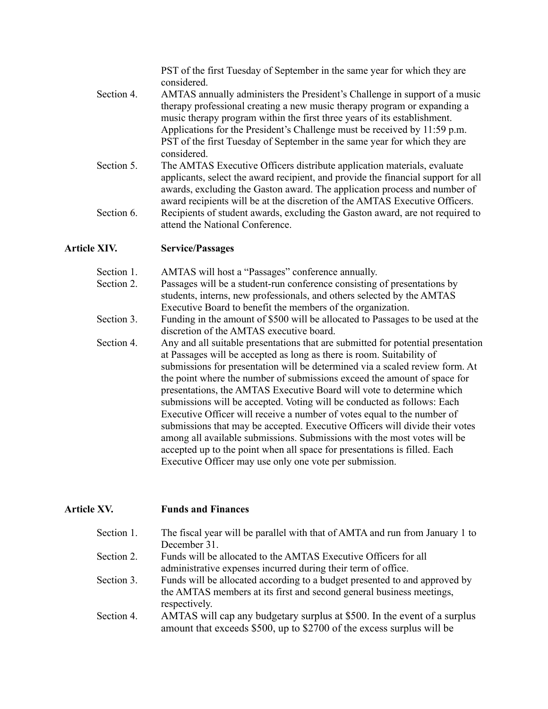PST of the first Tuesday of September in the same year for which they are considered.

- Section 4. AMTAS annually administers the President's Challenge in support of a music therapy professional creating a new music therapy program or expanding a music therapy program within the first three years of its establishment. Applications for the President's Challenge must be received by 11:59 p.m. PST of the first Tuesday of September in the same year for which they are considered.
- Section 5. The AMTAS Executive Officers distribute application materials, evaluate applicants, select the award recipient, and provide the financial support for all awards, excluding the Gaston award. The application process and number of award recipients will be at the discretion of the AMTAS Executive Officers. Section 6. Recipients of student awards, excluding the Gaston award, are not required to attend the National Conference.

#### **Article XIV. Service/Passages**

Section 1. AMTAS will host a "Passages" conference annually.

- Section 2. Passages will be a student-run conference consisting of presentations by students, interns, new professionals, and others selected by the AMTAS Executive Board to benefit the members of the organization.
- Section 3. Funding in the amount of \$500 will be allocated to Passages to be used at the discretion of the AMTAS executive board.
- Section 4. Any and all suitable presentations that are submitted for potential presentation at Passages will be accepted as long as there is room. Suitability of submissions for presentation will be determined via a scaled review form. At the point where the number of submissions exceed the amount of space for presentations, the AMTAS Executive Board will vote to determine which submissions will be accepted. Voting will be conducted as follows: Each Executive Officer will receive a number of votes equal to the number of submissions that may be accepted. Executive Officers will divide their votes among all available submissions. Submissions with the most votes will be accepted up to the point when all space for presentations is filled. Each Executive Officer may use only one vote per submission.

## **Article XV. Funds and Finances**

| Section 1. | The fiscal year will be parallel with that of AMTA and run from January 1 to |
|------------|------------------------------------------------------------------------------|
|            | December 31.                                                                 |
| Section 2. | Funds will be allocated to the AMTAS Executive Officers for all              |
|            | administrative expenses incurred during their term of office.                |
| Section 3. | Funds will be allocated according to a budget presented to and approved by   |
|            | the AMTAS members at its first and second general business meetings,         |
|            | respectively.                                                                |
| Section 4. | AMTAS will cap any budgetary surplus at \$500. In the event of a surplus     |
|            | amount that exceeds \$500, up to \$2700 of the excess surplus will be        |